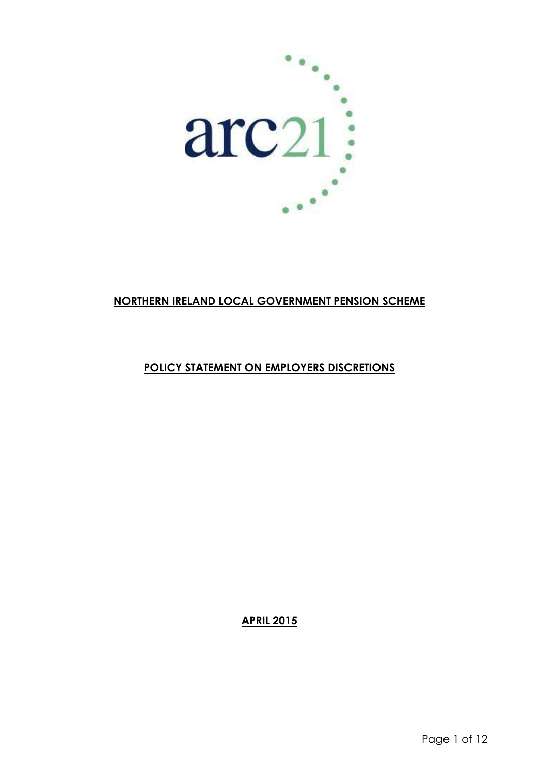

# **NORTHERN IRELAND LOCAL GOVERNMENT PENSION SCHEME**

# **POLICY STATEMENT ON EMPLOYERS DISCRETIONS**

**APRIL 2015**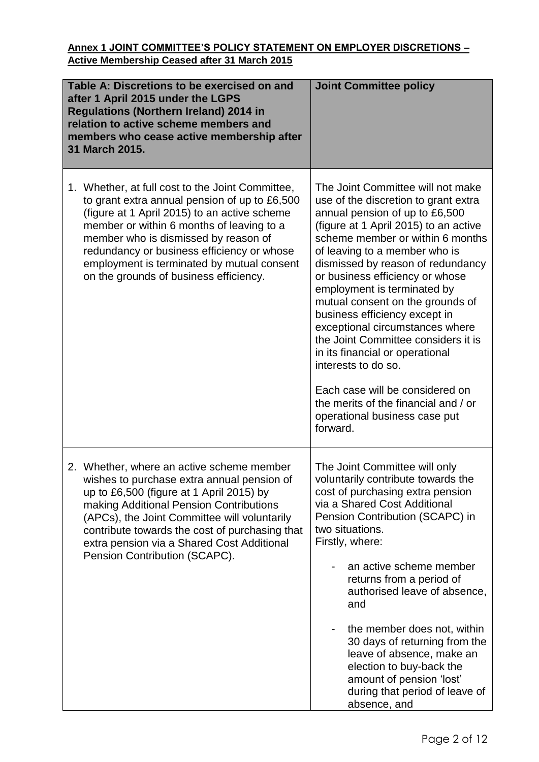### **Annex 1 JOINT COMMITTEE'S POLICY STATEMENT ON EMPLOYER DISCRETIONS – Active Membership Ceased after 31 March 2015**

| Table A: Discretions to be exercised on and<br>after 1 April 2015 under the LGPS<br><b>Regulations (Northern Ireland) 2014 in</b><br>relation to active scheme members and<br>members who cease active membership after<br>31 March 2015.                                                                                                                                    | <b>Joint Committee policy</b>                                                                                                                                                                                                                                                                                                                                                                                                                                                                                                                                                                                                                                     |
|------------------------------------------------------------------------------------------------------------------------------------------------------------------------------------------------------------------------------------------------------------------------------------------------------------------------------------------------------------------------------|-------------------------------------------------------------------------------------------------------------------------------------------------------------------------------------------------------------------------------------------------------------------------------------------------------------------------------------------------------------------------------------------------------------------------------------------------------------------------------------------------------------------------------------------------------------------------------------------------------------------------------------------------------------------|
| 1. Whether, at full cost to the Joint Committee,<br>to grant extra annual pension of up to £6,500<br>(figure at 1 April 2015) to an active scheme<br>member or within 6 months of leaving to a<br>member who is dismissed by reason of<br>redundancy or business efficiency or whose<br>employment is terminated by mutual consent<br>on the grounds of business efficiency. | The Joint Committee will not make<br>use of the discretion to grant extra<br>annual pension of up to £6,500<br>(figure at 1 April 2015) to an active<br>scheme member or within 6 months<br>of leaving to a member who is<br>dismissed by reason of redundancy<br>or business efficiency or whose<br>employment is terminated by<br>mutual consent on the grounds of<br>business efficiency except in<br>exceptional circumstances where<br>the Joint Committee considers it is<br>in its financial or operational<br>interests to do so.<br>Each case will be considered on<br>the merits of the financial and / or<br>operational business case put<br>forward. |
| 2. Whether, where an active scheme member<br>wishes to purchase extra annual pension of<br>up to £6,500 (figure at 1 April 2015) by<br>making Additional Pension Contributions<br>(APCs), the Joint Committee will voluntarily<br>contribute towards the cost of purchasing that<br>extra pension via a Shared Cost Additional<br>Pension Contribution (SCAPC).              | The Joint Committee will only<br>voluntarily contribute towards the<br>cost of purchasing extra pension<br>via a Shared Cost Additional<br>Pension Contribution (SCAPC) in<br>two situations.<br>Firstly, where:<br>an active scheme member<br>returns from a period of<br>authorised leave of absence,<br>and<br>the member does not, within<br>30 days of returning from the<br>leave of absence, make an<br>election to buy-back the<br>amount of pension 'lost'<br>during that period of leave of<br>absence, and                                                                                                                                             |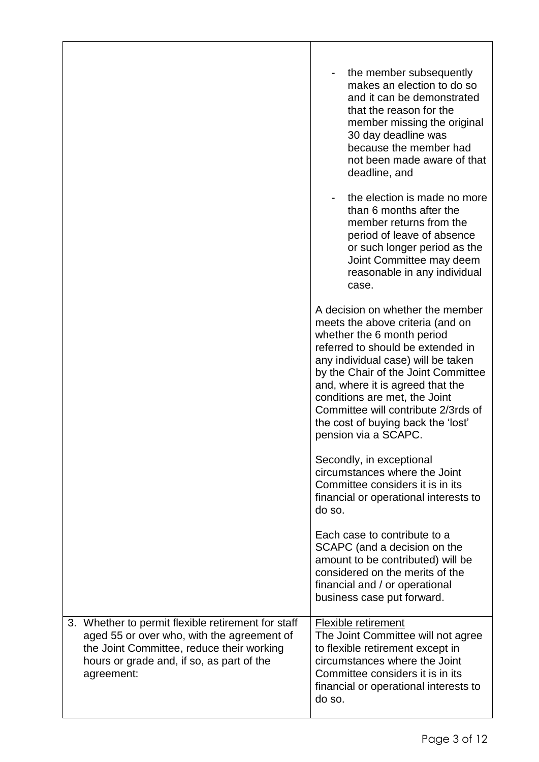|                                                                                                                                                                                                          | the member subsequently<br>makes an election to do so<br>and it can be demonstrated<br>that the reason for the<br>member missing the original<br>30 day deadline was<br>because the member had<br>not been made aware of that<br>deadline, and<br>the election is made no more<br>than 6 months after the<br>member returns from the<br>period of leave of absence<br>or such longer period as the<br>Joint Committee may deem<br>reasonable in any individual<br>case. |
|----------------------------------------------------------------------------------------------------------------------------------------------------------------------------------------------------------|-------------------------------------------------------------------------------------------------------------------------------------------------------------------------------------------------------------------------------------------------------------------------------------------------------------------------------------------------------------------------------------------------------------------------------------------------------------------------|
|                                                                                                                                                                                                          | A decision on whether the member<br>meets the above criteria (and on<br>whether the 6 month period<br>referred to should be extended in<br>any individual case) will be taken<br>by the Chair of the Joint Committee<br>and, where it is agreed that the<br>conditions are met, the Joint<br>Committee will contribute 2/3rds of<br>the cost of buying back the 'lost'<br>pension via a SCAPC.                                                                          |
|                                                                                                                                                                                                          | Secondly, in exceptional<br>circumstances where the Joint<br>Committee considers it is in its<br>financial or operational interests to<br>do so.                                                                                                                                                                                                                                                                                                                        |
|                                                                                                                                                                                                          | Each case to contribute to a<br>SCAPC (and a decision on the<br>amount to be contributed) will be<br>considered on the merits of the<br>financial and / or operational<br>business case put forward.                                                                                                                                                                                                                                                                    |
| 3. Whether to permit flexible retirement for staff<br>aged 55 or over who, with the agreement of<br>the Joint Committee, reduce their working<br>hours or grade and, if so, as part of the<br>agreement: | <b>Flexible retirement</b><br>The Joint Committee will not agree<br>to flexible retirement except in<br>circumstances where the Joint<br>Committee considers it is in its<br>financial or operational interests to<br>do so.                                                                                                                                                                                                                                            |

 $\overline{\phantom{a}}$ 

 $\overline{\phantom{a}}$ 

 $\mathsf{l}$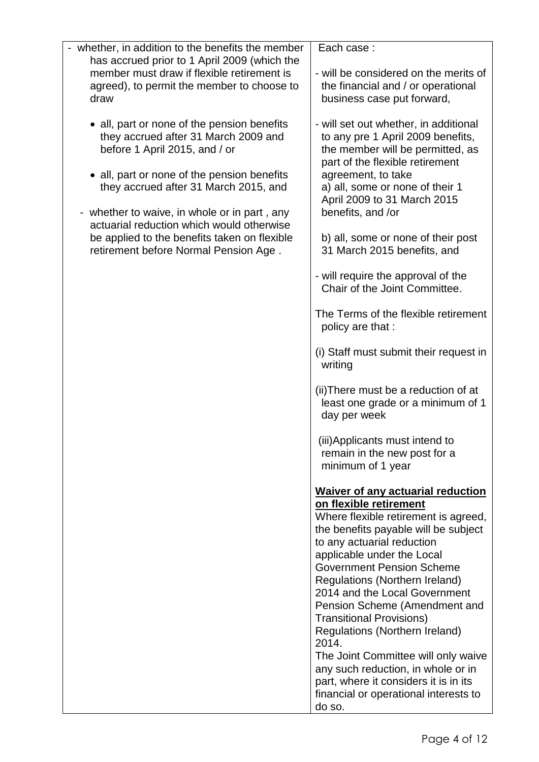| - whether, in addition to the benefits the member                                                                                                | Each case:                                                                                                                                                                                                                                                                                                                                                                                                                                                                                                                                                                                                    |
|--------------------------------------------------------------------------------------------------------------------------------------------------|---------------------------------------------------------------------------------------------------------------------------------------------------------------------------------------------------------------------------------------------------------------------------------------------------------------------------------------------------------------------------------------------------------------------------------------------------------------------------------------------------------------------------------------------------------------------------------------------------------------|
| has accrued prior to 1 April 2009 (which the<br>member must draw if flexible retirement is<br>agreed), to permit the member to choose to<br>draw | - will be considered on the merits of<br>the financial and / or operational<br>business case put forward,                                                                                                                                                                                                                                                                                                                                                                                                                                                                                                     |
| • all, part or none of the pension benefits<br>they accrued after 31 March 2009 and<br>before 1 April 2015, and / or                             | - will set out whether, in additional<br>to any pre 1 April 2009 benefits,<br>the member will be permitted, as<br>part of the flexible retirement                                                                                                                                                                                                                                                                                                                                                                                                                                                             |
| • all, part or none of the pension benefits<br>they accrued after 31 March 2015, and<br>- whether to waive, in whole or in part, any             | agreement, to take<br>a) all, some or none of their 1<br>April 2009 to 31 March 2015<br>benefits, and /or                                                                                                                                                                                                                                                                                                                                                                                                                                                                                                     |
| actuarial reduction which would otherwise<br>be applied to the benefits taken on flexible<br>retirement before Normal Pension Age.               | b) all, some or none of their post<br>31 March 2015 benefits, and                                                                                                                                                                                                                                                                                                                                                                                                                                                                                                                                             |
|                                                                                                                                                  | - will require the approval of the<br>Chair of the Joint Committee.                                                                                                                                                                                                                                                                                                                                                                                                                                                                                                                                           |
|                                                                                                                                                  | The Terms of the flexible retirement<br>policy are that :                                                                                                                                                                                                                                                                                                                                                                                                                                                                                                                                                     |
|                                                                                                                                                  | (i) Staff must submit their request in<br>writing                                                                                                                                                                                                                                                                                                                                                                                                                                                                                                                                                             |
|                                                                                                                                                  | (ii) There must be a reduction of at<br>least one grade or a minimum of 1<br>day per week                                                                                                                                                                                                                                                                                                                                                                                                                                                                                                                     |
|                                                                                                                                                  | (iii) Applicants must intend to<br>remain in the new post for a<br>minimum of 1 year                                                                                                                                                                                                                                                                                                                                                                                                                                                                                                                          |
|                                                                                                                                                  | <b>Waiver of any actuarial reduction</b><br>on flexible retirement<br>Where flexible retirement is agreed,<br>the benefits payable will be subject<br>to any actuarial reduction<br>applicable under the Local<br><b>Government Pension Scheme</b><br>Regulations (Northern Ireland)<br>2014 and the Local Government<br>Pension Scheme (Amendment and<br><b>Transitional Provisions)</b><br>Regulations (Northern Ireland)<br>2014.<br>The Joint Committee will only waive<br>any such reduction, in whole or in<br>part, where it considers it is in its<br>financial or operational interests to<br>do so. |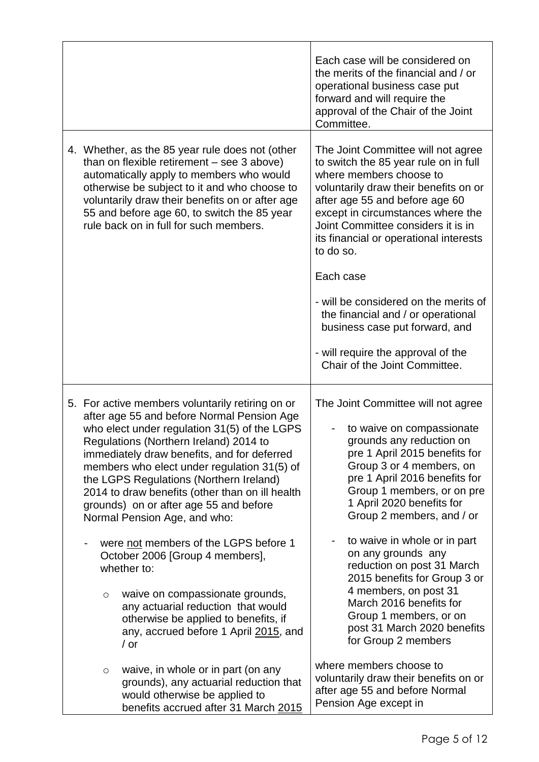|         |                                                                                                                                                                                                                                                                                                                                                                                                                                                                                                                                                                                                                                    | Each case will be considered on<br>the merits of the financial and / or<br>operational business case put<br>forward and will require the<br>approval of the Chair of the Joint<br>Committee.                                                                                                                                                                                                                                                              |
|---------|------------------------------------------------------------------------------------------------------------------------------------------------------------------------------------------------------------------------------------------------------------------------------------------------------------------------------------------------------------------------------------------------------------------------------------------------------------------------------------------------------------------------------------------------------------------------------------------------------------------------------------|-----------------------------------------------------------------------------------------------------------------------------------------------------------------------------------------------------------------------------------------------------------------------------------------------------------------------------------------------------------------------------------------------------------------------------------------------------------|
|         | 4. Whether, as the 85 year rule does not (other<br>than on flexible retirement - see 3 above)<br>automatically apply to members who would<br>otherwise be subject to it and who choose to<br>voluntarily draw their benefits on or after age<br>55 and before age 60, to switch the 85 year<br>rule back on in full for such members.                                                                                                                                                                                                                                                                                              | The Joint Committee will not agree<br>to switch the 85 year rule on in full<br>where members choose to<br>voluntarily draw their benefits on or<br>after age 55 and before age 60<br>except in circumstances where the<br>Joint Committee considers it is in<br>its financial or operational interests<br>to do so.                                                                                                                                       |
|         |                                                                                                                                                                                                                                                                                                                                                                                                                                                                                                                                                                                                                                    | Each case                                                                                                                                                                                                                                                                                                                                                                                                                                                 |
|         |                                                                                                                                                                                                                                                                                                                                                                                                                                                                                                                                                                                                                                    | - will be considered on the merits of<br>the financial and / or operational<br>business case put forward, and                                                                                                                                                                                                                                                                                                                                             |
|         |                                                                                                                                                                                                                                                                                                                                                                                                                                                                                                                                                                                                                                    | - will require the approval of the<br>Chair of the Joint Committee.                                                                                                                                                                                                                                                                                                                                                                                       |
| $\circ$ | 5. For active members voluntarily retiring on or<br>after age 55 and before Normal Pension Age<br>who elect under regulation 31(5) of the LGPS<br>Regulations (Northern Ireland) 2014 to<br>immediately draw benefits, and for deferred<br>members who elect under regulation 31(5) of<br>the LGPS Regulations (Northern Ireland)<br>2014 to draw benefits (other than on ill health<br>grounds) on or after age 55 and before<br>Normal Pension Age, and who:<br>were not members of the LGPS before 1<br>October 2006 [Group 4 members],<br>whether to:<br>waive on compassionate grounds,<br>any actuarial reduction that would | The Joint Committee will not agree<br>to waive on compassionate<br>grounds any reduction on<br>pre 1 April 2015 benefits for<br>Group 3 or 4 members, on<br>pre 1 April 2016 benefits for<br>Group 1 members, or on pre<br>1 April 2020 benefits for<br>Group 2 members, and / or<br>to waive in whole or in part<br>on any grounds any<br>reduction on post 31 March<br>2015 benefits for Group 3 or<br>4 members, on post 31<br>March 2016 benefits for |
|         | otherwise be applied to benefits, if<br>any, accrued before 1 April 2015, and<br>/ or                                                                                                                                                                                                                                                                                                                                                                                                                                                                                                                                              | Group 1 members, or on<br>post 31 March 2020 benefits<br>for Group 2 members                                                                                                                                                                                                                                                                                                                                                                              |
| $\circ$ | waive, in whole or in part (on any<br>grounds), any actuarial reduction that<br>would otherwise be applied to<br>benefits accrued after 31 March 2015                                                                                                                                                                                                                                                                                                                                                                                                                                                                              | where members choose to<br>voluntarily draw their benefits on or<br>after age 55 and before Normal<br>Pension Age except in                                                                                                                                                                                                                                                                                                                               |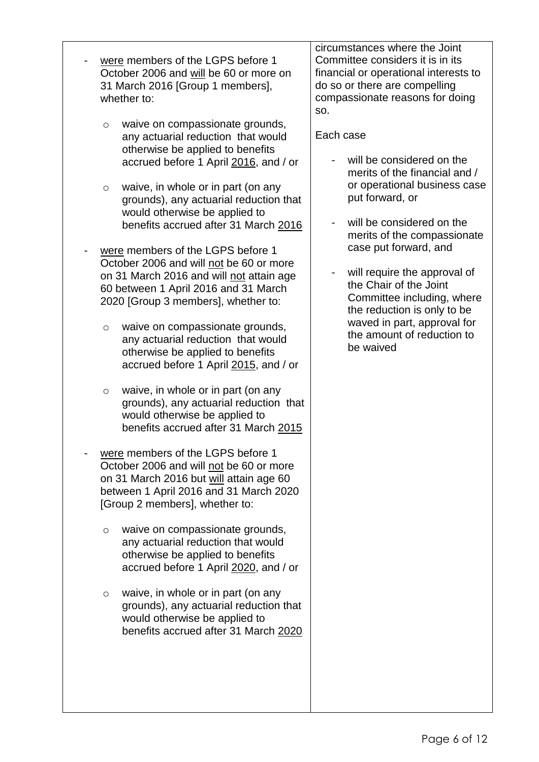were members of the LGPS before 1 October 2006 and will be 60 or more on 31 March 2016 [Group 1 members], whether to:

- o waive on compassionate grounds, any actuarial reduction that would otherwise be applied to benefits accrued before 1 April 2016, and / or
- o waive, in whole or in part (on any grounds), any actuarial reduction that would otherwise be applied to benefits accrued after 31 March 2016
- were members of the LGPS before 1 October 2006 and will not be 60 or more on 31 March 2016 and will not attain age 60 between 1 April 2016 and 31 March 2020 [Group 3 members], whether to:
	- o waive on compassionate grounds, any actuarial reduction that would otherwise be applied to benefits accrued before 1 April 2015, and / or
	- o waive, in whole or in part (on any grounds), any actuarial reduction that would otherwise be applied to benefits accrued after 31 March 2015
- were members of the LGPS before 1 October 2006 and will not be 60 or more on 31 March 2016 but will attain age 60 between 1 April 2016 and 31 March 2020 [Group 2 members], whether to:
	- o waive on compassionate grounds, any actuarial reduction that would otherwise be applied to benefits accrued before 1 April 2020, and / or
	- o waive, in whole or in part (on any grounds), any actuarial reduction that would otherwise be applied to benefits accrued after 31 March 2020

circumstances where the Joint Committee considers it is in its financial or operational interests to do so or there are compelling compassionate reasons for doing so.

### Each case

- will be considered on the merits of the financial and / or operational business case put forward, or
- will be considered on the merits of the compassionate case put forward, and
- will require the approval of the Chair of the Joint Committee including, where the reduction is only to be waved in part, approval for the amount of reduction to be waived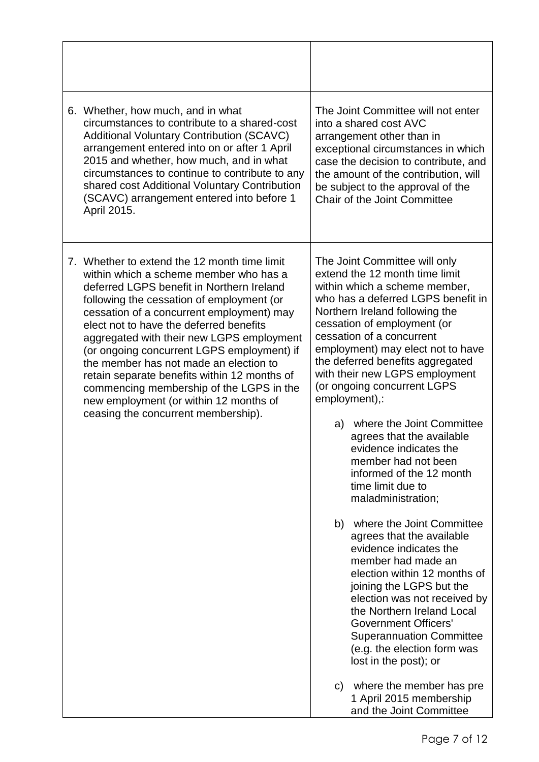| April 2015. | 6. Whether, how much, and in what<br>circumstances to contribute to a shared-cost<br><b>Additional Voluntary Contribution (SCAVC)</b><br>arrangement entered into on or after 1 April<br>2015 and whether, how much, and in what<br>circumstances to continue to contribute to any<br>shared cost Additional Voluntary Contribution<br>(SCAVC) arrangement entered into before 1                                                                                                                                                                                                           |                | The Joint Committee will not enter<br>into a shared cost AVC<br>arrangement other than in<br>exceptional circumstances in which<br>case the decision to contribute, and<br>the amount of the contribution, will<br>be subject to the approval of the<br>Chair of the Joint Committee                                                                                                                                                                                                                                                                                                                                                                                                                                                                                                                                                                                                                                                                                        |
|-------------|--------------------------------------------------------------------------------------------------------------------------------------------------------------------------------------------------------------------------------------------------------------------------------------------------------------------------------------------------------------------------------------------------------------------------------------------------------------------------------------------------------------------------------------------------------------------------------------------|----------------|-----------------------------------------------------------------------------------------------------------------------------------------------------------------------------------------------------------------------------------------------------------------------------------------------------------------------------------------------------------------------------------------------------------------------------------------------------------------------------------------------------------------------------------------------------------------------------------------------------------------------------------------------------------------------------------------------------------------------------------------------------------------------------------------------------------------------------------------------------------------------------------------------------------------------------------------------------------------------------|
|             | 7. Whether to extend the 12 month time limit<br>within which a scheme member who has a<br>deferred LGPS benefit in Northern Ireland<br>following the cessation of employment (or<br>cessation of a concurrent employment) may<br>elect not to have the deferred benefits<br>aggregated with their new LGPS employment<br>(or ongoing concurrent LGPS employment) if<br>the member has not made an election to<br>retain separate benefits within 12 months of<br>commencing membership of the LGPS in the<br>new employment (or within 12 months of<br>ceasing the concurrent membership). | a)<br>b)<br>C) | The Joint Committee will only<br>extend the 12 month time limit<br>within which a scheme member,<br>who has a deferred LGPS benefit in<br>Northern Ireland following the<br>cessation of employment (or<br>cessation of a concurrent<br>employment) may elect not to have<br>the deferred benefits aggregated<br>with their new LGPS employment<br>(or ongoing concurrent LGPS<br>employment),:<br>where the Joint Committee<br>agrees that the available<br>evidence indicates the<br>member had not been<br>informed of the 12 month<br>time limit due to<br>maladministration;<br>where the Joint Committee<br>agrees that the available<br>evidence indicates the<br>member had made an<br>election within 12 months of<br>joining the LGPS but the<br>election was not received by<br>the Northern Ireland Local<br><b>Government Officers'</b><br><b>Superannuation Committee</b><br>(e.g. the election form was<br>lost in the post); or<br>where the member has pre |
|             |                                                                                                                                                                                                                                                                                                                                                                                                                                                                                                                                                                                            |                | 1 April 2015 membership<br>and the Joint Committee                                                                                                                                                                                                                                                                                                                                                                                                                                                                                                                                                                                                                                                                                                                                                                                                                                                                                                                          |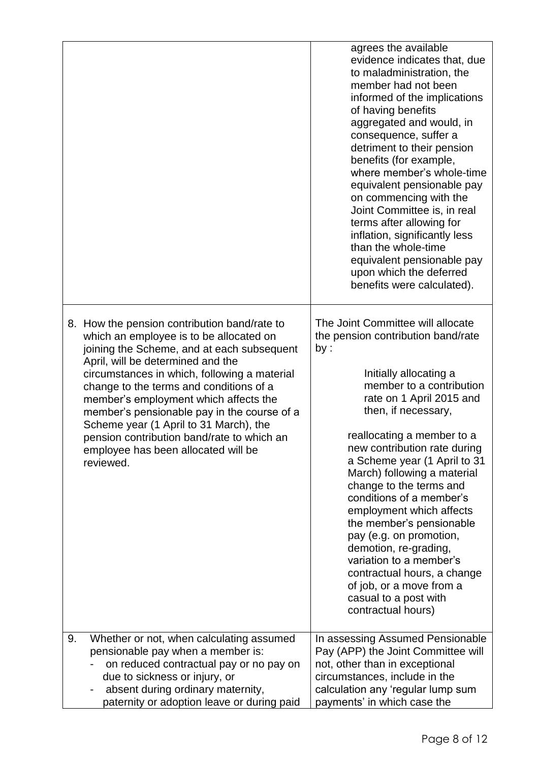|           |                                                                                                                                                                                                                                                                                                                                                                                                                                                                                              | agrees the available<br>evidence indicates that, due<br>to maladministration, the<br>member had not been<br>informed of the implications<br>of having benefits<br>aggregated and would, in<br>consequence, suffer a<br>detriment to their pension<br>benefits (for example,<br>where member's whole-time<br>equivalent pensionable pay<br>on commencing with the<br>Joint Committee is, in real<br>terms after allowing for<br>inflation, significantly less<br>than the whole-time<br>equivalent pensionable pay<br>upon which the deferred<br>benefits were calculated).                                                   |
|-----------|----------------------------------------------------------------------------------------------------------------------------------------------------------------------------------------------------------------------------------------------------------------------------------------------------------------------------------------------------------------------------------------------------------------------------------------------------------------------------------------------|------------------------------------------------------------------------------------------------------------------------------------------------------------------------------------------------------------------------------------------------------------------------------------------------------------------------------------------------------------------------------------------------------------------------------------------------------------------------------------------------------------------------------------------------------------------------------------------------------------------------------|
| reviewed. | 8. How the pension contribution band/rate to<br>which an employee is to be allocated on<br>joining the Scheme, and at each subsequent<br>April, will be determined and the<br>circumstances in which, following a material<br>change to the terms and conditions of a<br>member's employment which affects the<br>member's pensionable pay in the course of a<br>Scheme year (1 April to 31 March), the<br>pension contribution band/rate to which an<br>employee has been allocated will be | The Joint Committee will allocate<br>the pension contribution band/rate<br>by:<br>Initially allocating a<br>member to a contribution<br>rate on 1 April 2015 and<br>then, if necessary,<br>reallocating a member to a<br>new contribution rate during<br>a Scheme year (1 April to 31<br>March) following a material<br>change to the terms and<br>conditions of a member's<br>employment which affects<br>the member's pensionable<br>pay (e.g. on promotion,<br>demotion, re-grading,<br>variation to a member's<br>contractual hours, a change<br>of job, or a move from a<br>casual to a post with<br>contractual hours) |
| 9.        | Whether or not, when calculating assumed<br>pensionable pay when a member is:<br>on reduced contractual pay or no pay on<br>due to sickness or injury, or<br>absent during ordinary maternity,<br>paternity or adoption leave or during paid                                                                                                                                                                                                                                                 | In assessing Assumed Pensionable<br>Pay (APP) the Joint Committee will<br>not, other than in exceptional<br>circumstances, include in the<br>calculation any 'regular lump sum<br>payments' in which case the                                                                                                                                                                                                                                                                                                                                                                                                                |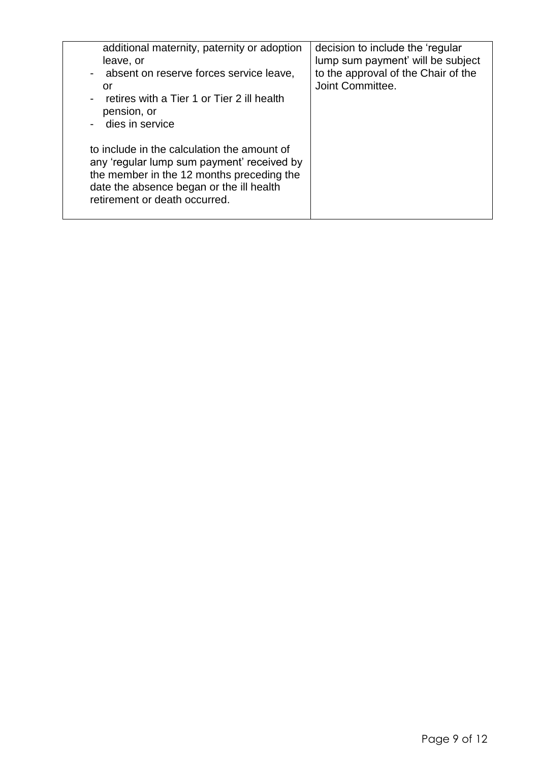| additional maternity, paternity or adoption<br>leave, or<br>- absent on reserve forces service leave,<br>or<br>retires with a Tier 1 or Tier 2 ill health<br>pension, or<br>- dies in service                       | decision to include the 'regular<br>lump sum payment' will be subject<br>to the approval of the Chair of the<br>Joint Committee. |
|---------------------------------------------------------------------------------------------------------------------------------------------------------------------------------------------------------------------|----------------------------------------------------------------------------------------------------------------------------------|
| to include in the calculation the amount of<br>any 'regular lump sum payment' received by<br>the member in the 12 months preceding the<br>date the absence began or the ill health<br>retirement or death occurred. |                                                                                                                                  |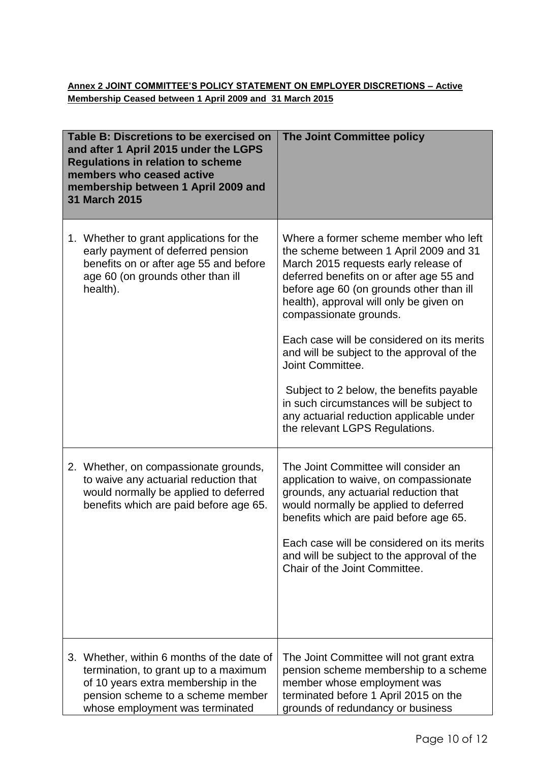### **Annex 2 JOINT COMMITTEE'S POLICY STATEMENT ON EMPLOYER DISCRETIONS – Active Membership Ceased between 1 April 2009 and 31 March 2015**

| Table B: Discretions to be exercised on<br>and after 1 April 2015 under the LGPS<br><b>Regulations in relation to scheme</b><br>members who ceased active<br>membership between 1 April 2009 and<br>31 March 2015 | The Joint Committee policy                                                                                                                                                                                                                                                                                                                                                                                                                                                                                                                                                 |
|-------------------------------------------------------------------------------------------------------------------------------------------------------------------------------------------------------------------|----------------------------------------------------------------------------------------------------------------------------------------------------------------------------------------------------------------------------------------------------------------------------------------------------------------------------------------------------------------------------------------------------------------------------------------------------------------------------------------------------------------------------------------------------------------------------|
| 1. Whether to grant applications for the<br>early payment of deferred pension<br>benefits on or after age 55 and before<br>age 60 (on grounds other than ill<br>health).                                          | Where a former scheme member who left<br>the scheme between 1 April 2009 and 31<br>March 2015 requests early release of<br>deferred benefits on or after age 55 and<br>before age 60 (on grounds other than ill<br>health), approval will only be given on<br>compassionate grounds.<br>Each case will be considered on its merits<br>and will be subject to the approval of the<br>Joint Committee.<br>Subject to 2 below, the benefits payable<br>in such circumstances will be subject to<br>any actuarial reduction applicable under<br>the relevant LGPS Regulations. |
| 2. Whether, on compassionate grounds,<br>to waive any actuarial reduction that<br>would normally be applied to deferred<br>benefits which are paid before age 65.                                                 | The Joint Committee will consider an<br>application to waive, on compassionate<br>grounds, any actuarial reduction that<br>would normally be applied to deferred<br>benefits which are paid before age 65.<br>Each case will be considered on its merits<br>and will be subject to the approval of the<br>Chair of the Joint Committee.                                                                                                                                                                                                                                    |
| 3. Whether, within 6 months of the date of<br>termination, to grant up to a maximum<br>of 10 years extra membership in the<br>pension scheme to a scheme member<br>whose employment was terminated                | The Joint Committee will not grant extra<br>pension scheme membership to a scheme<br>member whose employment was<br>terminated before 1 April 2015 on the<br>grounds of redundancy or business                                                                                                                                                                                                                                                                                                                                                                             |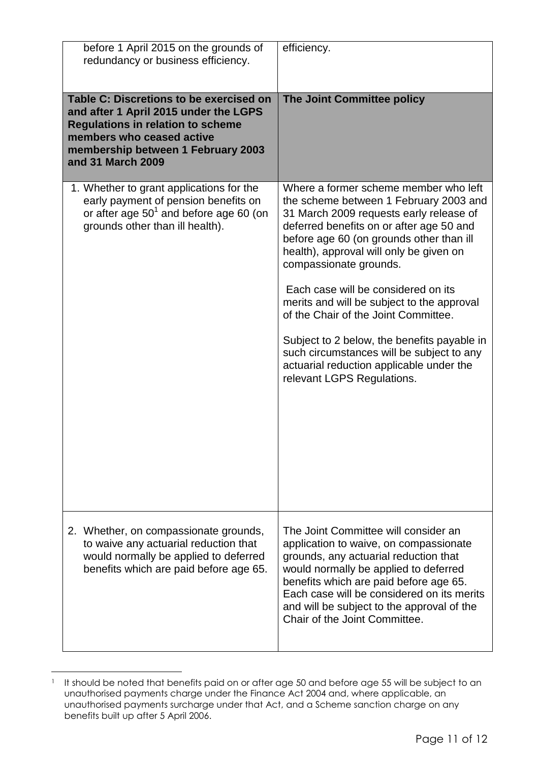| before 1 April 2015 on the grounds of<br>redundancy or business efficiency.                                                                                                                                          | efficiency.                                                                                                                                                                                                                                                                                                                             |
|----------------------------------------------------------------------------------------------------------------------------------------------------------------------------------------------------------------------|-----------------------------------------------------------------------------------------------------------------------------------------------------------------------------------------------------------------------------------------------------------------------------------------------------------------------------------------|
| Table C: Discretions to be exercised on<br>and after 1 April 2015 under the LGPS<br><b>Regulations in relation to scheme</b><br>members who ceased active<br>membership between 1 February 2003<br>and 31 March 2009 | The Joint Committee policy                                                                                                                                                                                                                                                                                                              |
| 1. Whether to grant applications for the<br>early payment of pension benefits on<br>or after age $50^1$ and before age 60 (on<br>grounds other than ill health).                                                     | Where a former scheme member who left<br>the scheme between 1 February 2003 and<br>31 March 2009 requests early release of<br>deferred benefits on or after age 50 and<br>before age 60 (on grounds other than ill<br>health), approval will only be given on<br>compassionate grounds.                                                 |
|                                                                                                                                                                                                                      | Each case will be considered on its<br>merits and will be subject to the approval<br>of the Chair of the Joint Committee.                                                                                                                                                                                                               |
|                                                                                                                                                                                                                      | Subject to 2 below, the benefits payable in<br>such circumstances will be subject to any<br>actuarial reduction applicable under the<br>relevant LGPS Regulations.                                                                                                                                                                      |
| 2. Whether, on compassionate grounds,<br>to waive any actuarial reduction that<br>would normally be applied to deferred<br>benefits which are paid before age 65.                                                    | The Joint Committee will consider an<br>application to waive, on compassionate<br>grounds, any actuarial reduction that<br>would normally be applied to deferred<br>benefits which are paid before age 65.<br>Each case will be considered on its merits<br>and will be subject to the approval of the<br>Chair of the Joint Committee. |

<sup>&</sup>lt;sup>1</sup> It should be noted that benefits paid on or after age 50 and before age 55 will be subject to an unauthorised payments charge under the Finance Act 2004 and, where applicable, an unauthorised payments surcharge under that Act, and a Scheme sanction charge on any benefits built up after 5 April 2006.

l